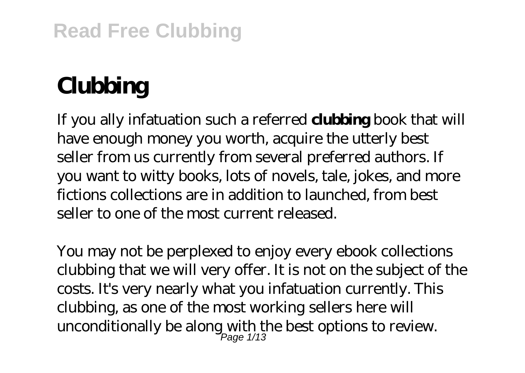## **Read Free Clubbing**

# **Clubbing**

If you ally infatuation such a referred **clubbing** book that will have enough money you worth, acquire the utterly best seller from us currently from several preferred authors. If you want to witty books, lots of novels, tale, jokes, and more fictions collections are in addition to launched, from best seller to one of the most current released.

You may not be perplexed to enjoy every ebook collections clubbing that we will very offer. It is not on the subject of the costs. It's very nearly what you infatuation currently. This clubbing, as one of the most working sellers here will unconditionally be along with the best options to review.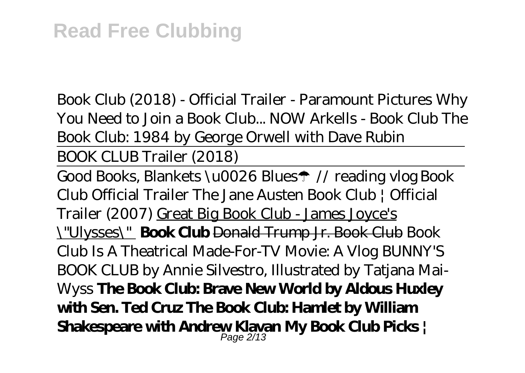*Book Club (2018) - Official Trailer - Paramount Pictures Why You Need to Join a Book Club... NOW Arkells - Book Club The Book Club: 1984 by George Orwell with Dave Rubin* BOOK CLUB Trailer (2018)

Good Books, Blankets \u0026 Blues☂ // reading vlog *Book Club Official Trailer* The Jane Austen Book Club | Official Trailer (2007) Great Big Book Club - James Joyce's \"Ulysses\" **Book Club** Donald Trump Jr. Book Club Book Club Is A Theatrical Made-For-TV Movie: A Vlog *BUNNY'S BOOK CLUB by Annie Silvestro, Illustrated by Tatjana Mai-Wyss* **The Book Club: Brave New World by Aldous Huxley with Sen. Ted Cruz The Book Club: Hamlet by William Shakespeare with Andrew Klavan My Book Club Picks |** Page 2/13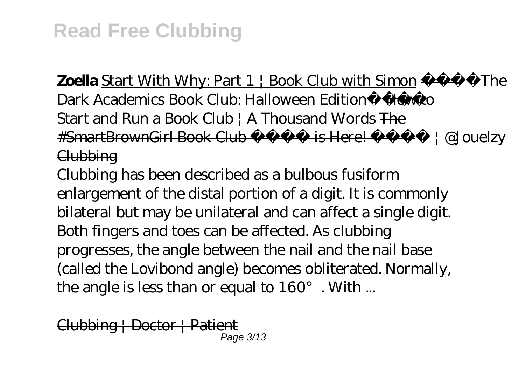**Zoella** Start With Why: Part  $1 \nmid$  Book Club with Simon  $\longrightarrow$  The Dark Academics Book Club: Halloween Edition - How to *Start and Run a Book Club | A Thousand Words* The #SmartBrownGirl Book Club is Here! | @Jouelzy **Clubbing** 

Clubbing has been described as a bulbous fusiform enlargement of the distal portion of a digit. It is commonly bilateral but may be unilateral and can affect a single digit. Both fingers and toes can be affected. As clubbing progresses, the angle between the nail and the nail base (called the Lovibond angle) becomes obliterated. Normally, the angle is less than or equal to 160°. With ...

Clubbing | Doctor | Patient Page 3/13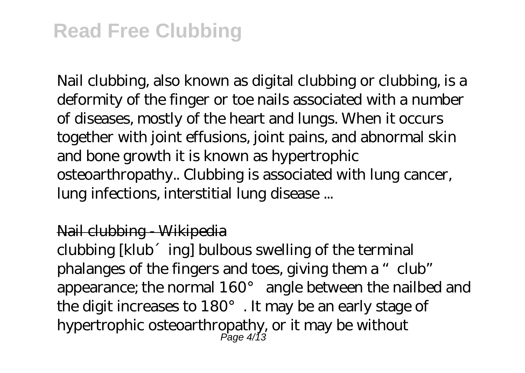## **Read Free Clubbing**

Nail clubbing, also known as digital clubbing or clubbing, is a deformity of the finger or toe nails associated with a number of diseases, mostly of the heart and lungs. When it occurs together with joint effusions, joint pains, and abnormal skin and bone growth it is known as hypertrophic osteoarthropathy.. Clubbing is associated with lung cancer, lung infections, interstitial lung disease ...

#### Nail clubbing - Wikipedia

clubbing [klub´ing] bulbous swelling of the terminal phalanges of the fingers and toes, giving them a "club" appearance; the normal 160° angle between the nailbed and the digit increases to 180°. It may be an early stage of hypertrophic osteoarthropathy, or it may be without Page 4/13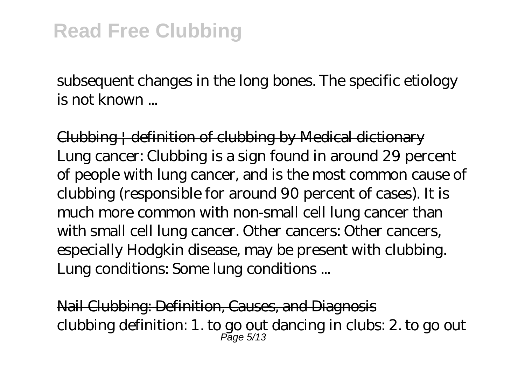subsequent changes in the long bones. The specific etiology is not known ...

Clubbing | definition of clubbing by Medical dictionary Lung cancer: Clubbing is a sign found in around 29 percent of people with lung cancer, and is the most common cause of clubbing (responsible for around 90 percent of cases). It is much more common with non-small cell lung cancer than with small cell lung cancer. Other cancers: Other cancers, especially Hodgkin disease, may be present with clubbing. Lung conditions: Some lung conditions ...

Nail Clubbing: Definition, Causes, and Diagnosis clubbing definition: 1. to go out dancing in clubs: 2. to go out Page 5/13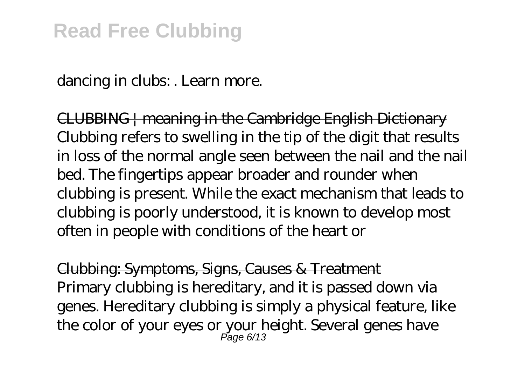dancing in clubs: . Learn more.

CLUBBING | meaning in the Cambridge English Dictionary Clubbing refers to swelling in the tip of the digit that results in loss of the normal angle seen between the nail and the nail bed. The fingertips appear broader and rounder when clubbing is present. While the exact mechanism that leads to clubbing is poorly understood, it is known to develop most often in people with conditions of the heart or

Clubbing: Symptoms, Signs, Causes & Treatment Primary clubbing is hereditary, and it is passed down via genes. Hereditary clubbing is simply a physical feature, like the color of your eyes or your height. Several genes have Page 6/13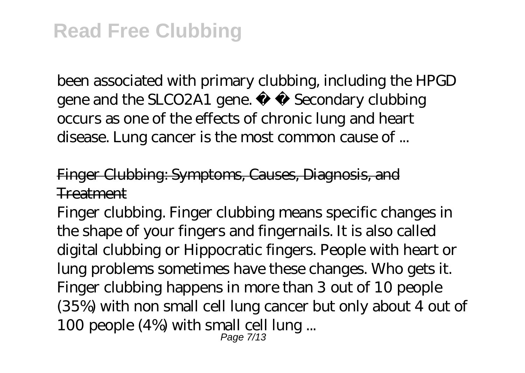been associated with primary clubbing, including the HPGD gene and the SLCO2A1 gene. Secondary clubbing occurs as one of the effects of chronic lung and heart disease. Lung cancer is the most common cause of ...

Finger Clubbing: Symptoms, Causes, Diagnosis, and **Treatment** 

Finger clubbing. Finger clubbing means specific changes in the shape of your fingers and fingernails. It is also called digital clubbing or Hippocratic fingers. People with heart or lung problems sometimes have these changes. Who gets it. Finger clubbing happens in more than 3 out of 10 people (35%) with non small cell lung cancer but only about 4 out of 100 people (4%) with small cell lung ...

Page 7/13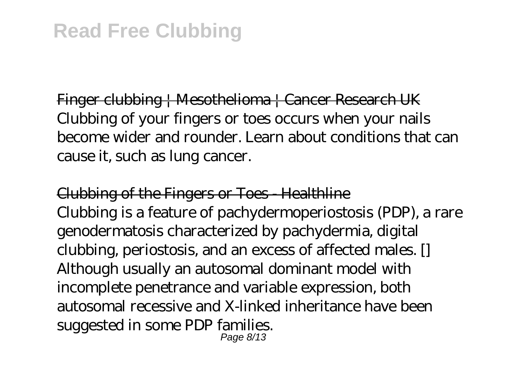Finger clubbing | Mesothelioma | Cancer Research UK Clubbing of your fingers or toes occurs when your nails become wider and rounder. Learn about conditions that can cause it, such as lung cancer.

Clubbing of the Fingers or Toes - Healthline Clubbing is a feature of pachydermoperiostosis (PDP), a rare genodermatosis characterized by pachydermia, digital clubbing, periostosis, and an excess of affected males. [] Although usually an autosomal dominant model with incomplete penetrance and variable expression, both autosomal recessive and X-linked inheritance have been suggested in some PDP families. Page 8/13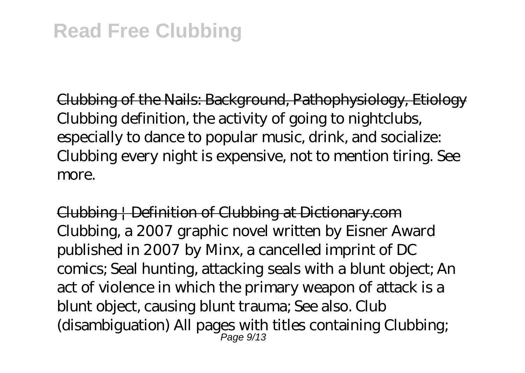Clubbing of the Nails: Background, Pathophysiology, Etiology Clubbing definition, the activity of going to nightclubs, especially to dance to popular music, drink, and socialize: Clubbing every night is expensive, not to mention tiring. See more.

Clubbing | Definition of Clubbing at Dictionary.com Clubbing, a 2007 graphic novel written by Eisner Award published in 2007 by Minx, a cancelled imprint of DC comics; Seal hunting, attacking seals with a blunt object; An act of violence in which the primary weapon of attack is a blunt object, causing blunt trauma; See also. Club (disambiguation) All pages with titles containing Clubbing; Page 9/13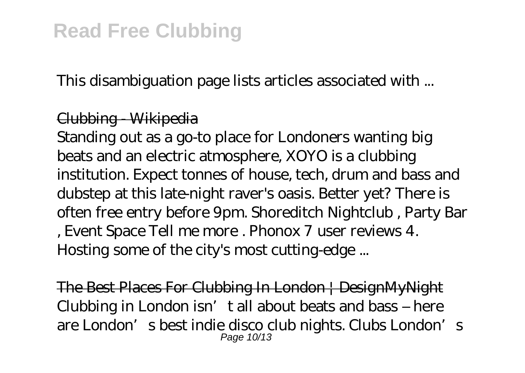This disambiguation page lists articles associated with ...

### Clubbing - Wikipedia

Standing out as a go-to place for Londoners wanting big beats and an electric atmosphere, XOYO is a clubbing institution. Expect tonnes of house, tech, drum and bass and dubstep at this late-night raver's oasis. Better yet? There is often free entry before 9pm. Shoreditch Nightclub , Party Bar , Event Space Tell me more . Phonox 7 user reviews 4. Hosting some of the city's most cutting-edge ...

The Best Places For Clubbing In London | DesignMyNight Clubbing in London isn't all about beats and bass – here are London's best indie disco club nights. Clubs London's Page 10/13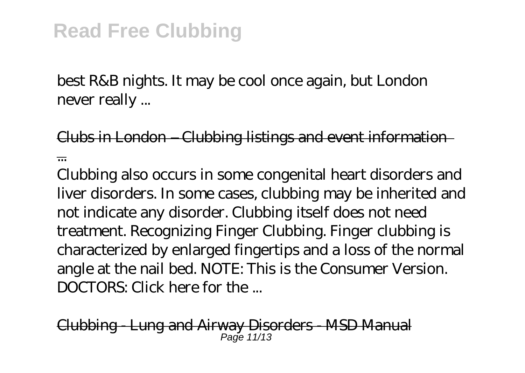best R&B nights. It may be cool once again, but London never really ...

Clubs in London – Clubbing listings and event information ...

Clubbing also occurs in some congenital heart disorders and liver disorders. In some cases, clubbing may be inherited and not indicate any disorder. Clubbing itself does not need treatment. Recognizing Finger Clubbing. Finger clubbing is characterized by enlarged fingertips and a loss of the normal angle at the nail bed. NOTE: This is the Consumer Version. DOCTORS: Click here for the ...

Clubbing - Lung and Airway Disorders - MSD Manual  $P<sub>2</sub>$ ne 11/13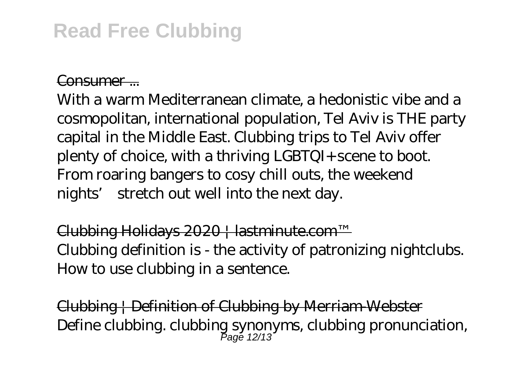## **Read Free Clubbing**

#### Consumer ...

With a warm Mediterranean climate, a hedonistic vibe and a cosmopolitan, international population, Tel Aviv is THE party capital in the Middle East. Clubbing trips to Tel Aviv offer plenty of choice, with a thriving LGBTQI+ scene to boot. From roaring bangers to cosy chill outs, the weekend nights' stretch out well into the next day.

Clubbing Holidays 2020 | lastminute.com™ Clubbing definition is - the activity of patronizing nightclubs. How to use clubbing in a sentence.

Clubbing | Definition of Clubbing by Merriam-Webster Define clubbing. clubbing synonyms, clubbing pronunciation, Page 12/13